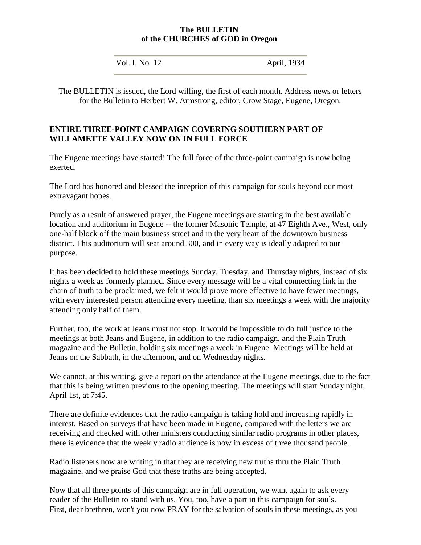### **The BULLETIN of the CHURCHES of GOD in Oregon**

Vol. I. No. 12 **April, 1934** 

The BULLETIN is issued, the Lord willing, the first of each month. Address news or letters for the Bulletin to Herbert W. Armstrong, editor, Crow Stage, Eugene, Oregon.

### **ENTIRE THREE-POINT CAMPAIGN COVERING SOUTHERN PART OF WILLAMETTE VALLEY NOW ON IN FULL FORCE**

The Eugene meetings have started! The full force of the three-point campaign is now being exerted.

The Lord has honored and blessed the inception of this campaign for souls beyond our most extravagant hopes.

Purely as a result of answered prayer, the Eugene meetings are starting in the best available location and auditorium in Eugene -- the former Masonic Temple, at 47 Eighth Ave., West, only one-half block off the main business street and in the very heart of the downtown business district. This auditorium will seat around 300, and in every way is ideally adapted to our purpose.

It has been decided to hold these meetings Sunday, Tuesday, and Thursday nights, instead of six nights a week as formerly planned. Since every message will be a vital connecting link in the chain of truth to be proclaimed, we felt it would prove more effective to have fewer meetings, with every interested person attending every meeting, than six meetings a week with the majority attending only half of them.

Further, too, the work at Jeans must not stop. It would be impossible to do full justice to the meetings at both Jeans and Eugene, in addition to the radio campaign, and the Plain Truth magazine and the Bulletin, holding six meetings a week in Eugene. Meetings will be held at Jeans on the Sabbath, in the afternoon, and on Wednesday nights.

We cannot, at this writing, give a report on the attendance at the Eugene meetings, due to the fact that this is being written previous to the opening meeting. The meetings will start Sunday night, April 1st, at 7:45.

There are definite evidences that the radio campaign is taking hold and increasing rapidly in interest. Based on surveys that have been made in Eugene, compared with the letters we are receiving and checked with other ministers conducting similar radio programs in other places, there is evidence that the weekly radio audience is now in excess of three thousand people.

Radio listeners now are writing in that they are receiving new truths thru the Plain Truth magazine, and we praise God that these truths are being accepted.

Now that all three points of this campaign are in full operation, we want again to ask every reader of the Bulletin to stand with us. You, too, have a part in this campaign for souls. First, dear brethren, won't you now PRAY for the salvation of souls in these meetings, as you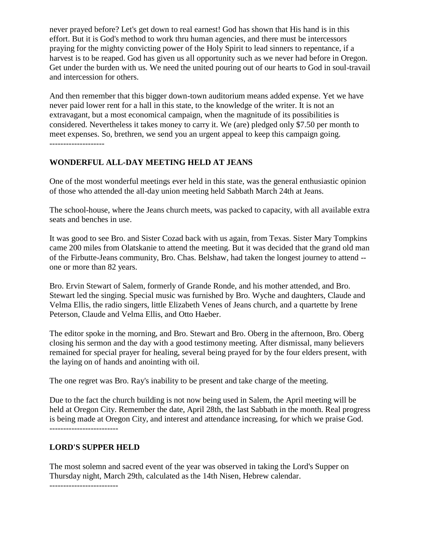never prayed before? Let's get down to real earnest! God has shown that His hand is in this effort. But it is God's method to work thru human agencies, and there must be intercessors praying for the mighty convicting power of the Holy Spirit to lead sinners to repentance, if a harvest is to be reaped. God has given us all opportunity such as we never had before in Oregon. Get under the burden with us. We need the united pouring out of our hearts to God in soul-travail and intercession for others.

And then remember that this bigger down-town auditorium means added expense. Yet we have never paid lower rent for a hall in this state, to the knowledge of the writer. It is not an extravagant, but a most economical campaign, when the magnitude of its possibilities is considered. Nevertheless it takes money to carry it. We (are) pledged only \$7.50 per month to meet expenses. So, brethren, we send you an urgent appeal to keep this campaign going. --------------------

# **WONDERFUL ALL-DAY MEETING HELD AT JEANS**

One of the most wonderful meetings ever held in this state, was the general enthusiastic opinion of those who attended the all-day union meeting held Sabbath March 24th at Jeans.

The school-house, where the Jeans church meets, was packed to capacity, with all available extra seats and benches in use.

It was good to see Bro. and Sister Cozad back with us again, from Texas. Sister Mary Tompkins came 200 miles from Olatskanie to attend the meeting. But it was decided that the grand old man of the Firbutte-Jeans community, Bro. Chas. Belshaw, had taken the longest journey to attend - one or more than 82 years.

Bro. Ervin Stewart of Salem, formerly of Grande Ronde, and his mother attended, and Bro. Stewart led the singing. Special music was furnished by Bro. Wyche and daughters, Claude and Velma Ellis, the radio singers, little Elizabeth Venes of Jeans church, and a quartette by Irene Peterson, Claude and Velma Ellis, and Otto Haeber.

The editor spoke in the morning, and Bro. Stewart and Bro. Oberg in the afternoon, Bro. Oberg closing his sermon and the day with a good testimony meeting. After dismissal, many believers remained for special prayer for healing, several being prayed for by the four elders present, with the laying on of hands and anointing with oil.

The one regret was Bro. Ray's inability to be present and take charge of the meeting.

Due to the fact the church building is not now being used in Salem, the April meeting will be held at Oregon City. Remember the date, April 28th, the last Sabbath in the month. Real progress is being made at Oregon City, and interest and attendance increasing, for which we praise God. -------------------------

## **LORD'S SUPPER HELD**

The most solemn and sacred event of the year was observed in taking the Lord's Supper on Thursday night, March 29th, calculated as the 14th Nisen, Hebrew calendar.

-------------------------